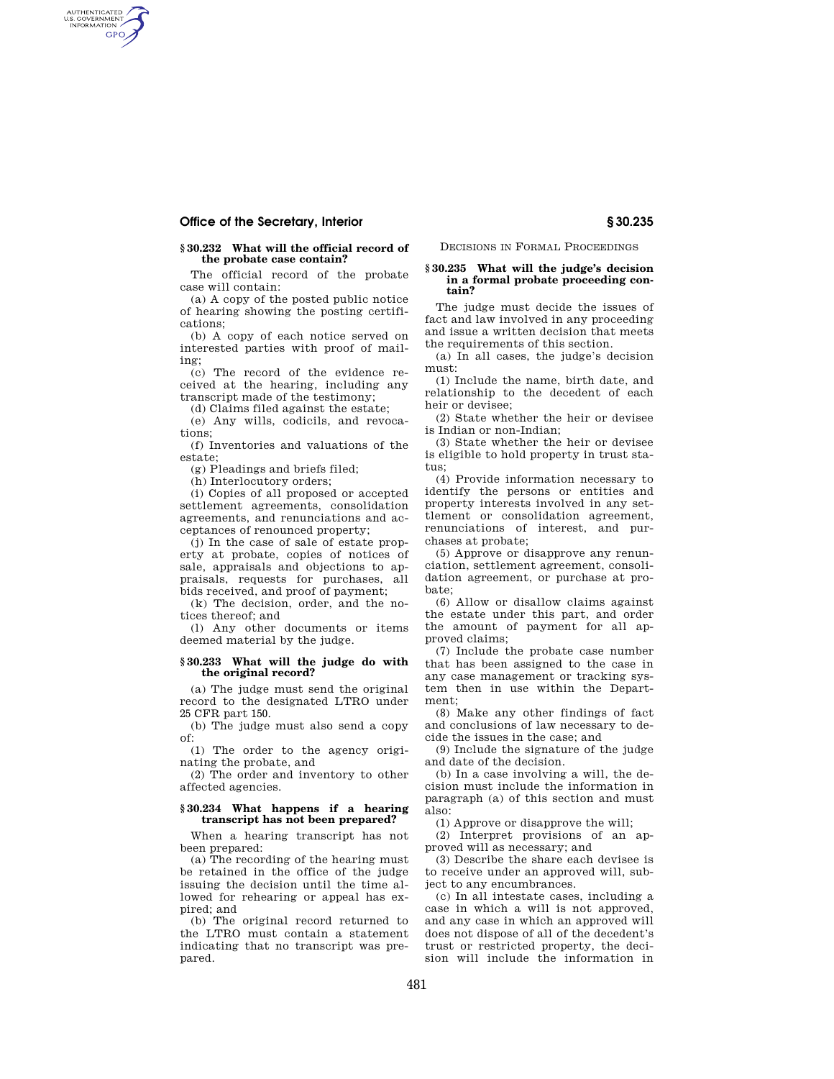# **Office of the Secretary, Interior § 30.235**

AUTHENTICATED<br>U.S. GOVERNMENT<br>INFORMATION **GPO** 

## **§ 30.232 What will the official record of the probate case contain?**

The official record of the probate case will contain:

(a) A copy of the posted public notice of hearing showing the posting certifications;

(b) A copy of each notice served on interested parties with proof of mailing;

(c) The record of the evidence received at the hearing, including any transcript made of the testimony;

(d) Claims filed against the estate;

(e) Any wills, codicils, and revoca-

tions; (f) Inventories and valuations of the estate;

(g) Pleadings and briefs filed;

(h) Interlocutory orders;

(i) Copies of all proposed or accepted settlement agreements, consolidation agreements, and renunciations and acceptances of renounced property;

(j) In the case of sale of estate property at probate, copies of notices of sale, appraisals and objections to appraisals, requests for purchases, all bids received, and proof of payment;

(k) The decision, order, and the notices thereof; and

(l) Any other documents or items deemed material by the judge.

# **§ 30.233 What will the judge do with the original record?**

(a) The judge must send the original record to the designated LTRO under 25 CFR part 150.

(b) The judge must also send a copy of:

(1) The order to the agency originating the probate, and

(2) The order and inventory to other affected agencies.

## **§ 30.234 What happens if a hearing transcript has not been prepared?**

When a hearing transcript has not been prepared:

(a) The recording of the hearing must be retained in the office of the judge issuing the decision until the time allowed for rehearing or appeal has expired; and

(b) The original record returned to the LTRO must contain a statement indicating that no transcript was prepared.

DECISIONS IN FORMAL PROCEEDINGS

## **§ 30.235 What will the judge's decision in a formal probate proceeding contain?**

The judge must decide the issues of fact and law involved in any proceeding and issue a written decision that meets the requirements of this section.

(a) In all cases, the judge's decision must:

(1) Include the name, birth date, and relationship to the decedent of each heir or devisee;

(2) State whether the heir or devisee is Indian or non-Indian;

(3) State whether the heir or devisee is eligible to hold property in trust status;

(4) Provide information necessary to identify the persons or entities and property interests involved in any settlement or consolidation agreement, renunciations of interest, and purchases at probate;

(5) Approve or disapprove any renunciation, settlement agreement, consolidation agreement, or purchase at probate;

(6) Allow or disallow claims against the estate under this part, and order the amount of payment for all approved claims;

(7) Include the probate case number that has been assigned to the case in any case management or tracking system then in use within the Department;

(8) Make any other findings of fact and conclusions of law necessary to decide the issues in the case; and

(9) Include the signature of the judge and date of the decision.

(b) In a case involving a will, the decision must include the information in paragraph (a) of this section and must also:

(1) Approve or disapprove the will;

(2) Interpret provisions of an approved will as necessary; and

(3) Describe the share each devisee is to receive under an approved will, subject to any encumbrances.

(c) In all intestate cases, including a case in which a will is not approved, and any case in which an approved will does not dispose of all of the decedent's trust or restricted property, the decision will include the information in